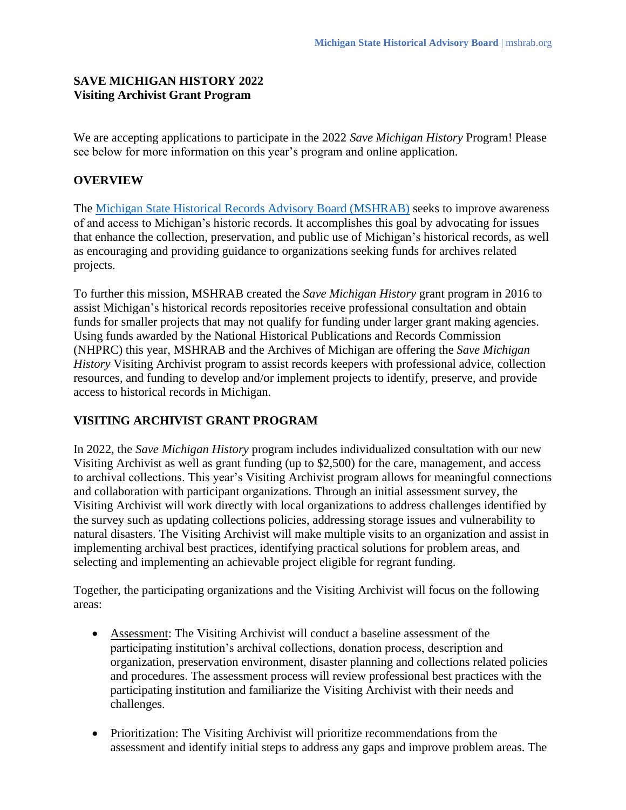#### **SAVE MICHIGAN HISTORY 2022 Visiting Archivist Grant Program**

We are accepting applications to participate in the 2022 *Save Michigan History* Program! Please see below for more information on this year's program and online application.

## **OVERVIEW**

The [Michigan State Historical Records Advisory Board \(MSHRAB\)](https://mshrab.org/) seeks to improve awareness of and access to Michigan's historic records. It accomplishes this goal by advocating for issues that enhance the collection, preservation, and public use of Michigan's historical records, as well as encouraging and providing guidance to organizations seeking funds for archives related projects.

To further this mission, MSHRAB created the *Save Michigan History* grant program in 2016 to assist Michigan's historical records repositories receive professional consultation and obtain funds for smaller projects that may not qualify for funding under larger grant making agencies. Using funds awarded by the National Historical Publications and Records Commission (NHPRC) this year, MSHRAB and the Archives of Michigan are offering the *Save Michigan History* Visiting Archivist program to assist records keepers with professional advice, collection resources, and funding to develop and/or implement projects to identify, preserve, and provide access to historical records in Michigan.

### **VISITING ARCHIVIST GRANT PROGRAM**

In 2022, the *Save Michigan History* program includes individualized consultation with our new Visiting Archivist as well as grant funding (up to \$2,500) for the care, management, and access to archival collections. This year's Visiting Archivist program allows for meaningful connections and collaboration with participant organizations. Through an initial assessment survey, the Visiting Archivist will work directly with local organizations to address challenges identified by the survey such as updating collections policies, addressing storage issues and vulnerability to natural disasters. The Visiting Archivist will make multiple visits to an organization and assist in implementing archival best practices, identifying practical solutions for problem areas, and selecting and implementing an achievable project eligible for regrant funding.

Together, the participating organizations and the Visiting Archivist will focus on the following areas:

- Assessment: The Visiting Archivist will conduct a baseline assessment of the participating institution's archival collections, donation process, description and organization, preservation environment, disaster planning and collections related policies and procedures. The assessment process will review professional best practices with the participating institution and familiarize the Visiting Archivist with their needs and challenges.
- Prioritization: The Visiting Archivist will prioritize recommendations from the assessment and identify initial steps to address any gaps and improve problem areas. The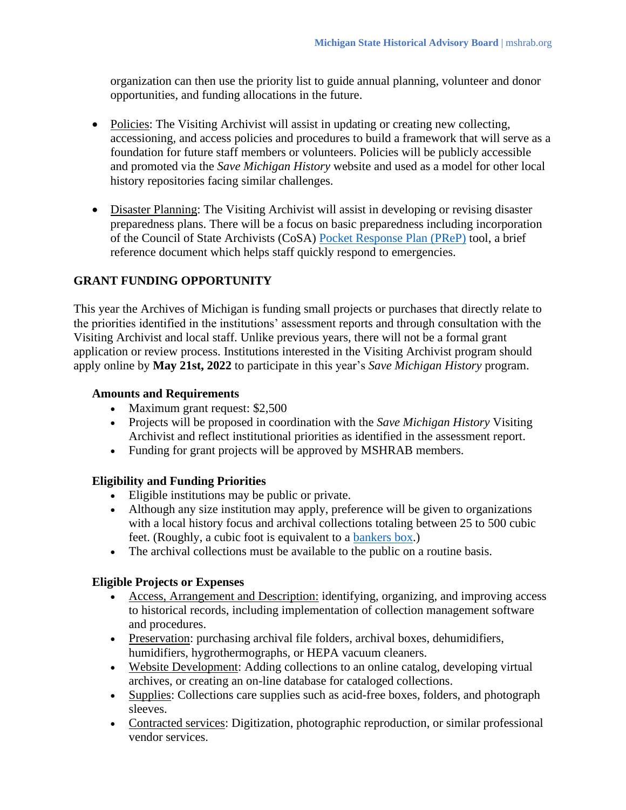organization can then use the priority list to guide annual planning, volunteer and donor opportunities, and funding allocations in the future.

- Policies: The Visiting Archivist will assist in updating or creating new collecting, accessioning, and access policies and procedures to build a framework that will serve as a foundation for future staff members or volunteers. Policies will be publicly accessible and promoted via the *Save Michigan History* website and used as a model for other local history repositories facing similar challenges.
- Disaster Planning: The Visiting Archivist will assist in developing or revising disaster preparedness plans. There will be a focus on basic preparedness including incorporation of the Council of State Archivists (CoSA) [Pocket Response Plan \(PReP\)](https://www.statearchivists.org/research-resources/emergency-preparedness/pocket-responce-templates) tool, a brief reference document which helps staff quickly respond to emergencies.

# **GRANT FUNDING OPPORTUNITY**

This year the Archives of Michigan is funding small projects or purchases that directly relate to the priorities identified in the institutions' assessment reports and through consultation with the Visiting Archivist and local staff. Unlike previous years, there will not be a formal grant application or review process. Institutions interested in the Visiting Archivist program should apply online by **May 21st, 2022** to participate in this year's *Save Michigan History* program.

#### **Amounts and Requirements**

- Maximum grant request: \$2,500
- Projects will be proposed in coordination with the *Save Michigan History* Visiting Archivist and reflect institutional priorities as identified in the assessment report.
- Funding for grant projects will be approved by MSHRAB members.

### **Eligibility and Funding Priorities**

- Eligible institutions may be public or private.
- Although any size institution may apply, preference will be given to organizations with a local history focus and archival collections totaling between 25 to 500 cubic feet. (Roughly, a cubic foot is equivalent to a [bankers](https://www.amazon.com/s?k=bankers+box) box.)
- The archival collections must be available to the public on a routine basis.

### **Eligible Projects or Expenses**

- Access, Arrangement and Description: identifying, organizing, and improving access to historical records, including implementation of collection management software and procedures.
- Preservation: purchasing archival file folders, archival boxes, dehumidifiers, humidifiers, hygrothermographs, or HEPA vacuum cleaners.
- Website Development: Adding collections to an online catalog, developing virtual archives, or creating an on-line database for cataloged collections.
- Supplies: Collections care supplies such as acid-free boxes, folders, and photograph sleeves.
- Contracted services: Digitization, photographic reproduction, or similar professional vendor services.